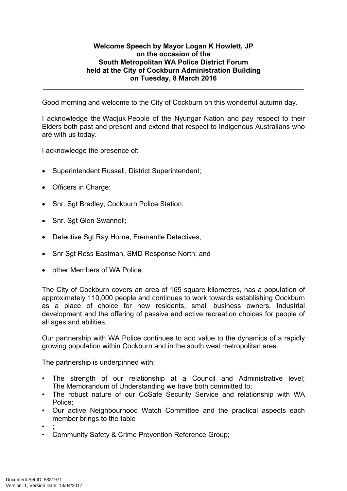## **Welcome Speech by Mayor Logan K Howlett, JP on the occasion of the South Metropolitan WA Police District Forum held at the City of Cockburn Administration Building on Tuesday, 8 March 2016**

**\_\_\_\_\_\_\_\_\_\_\_\_\_\_\_\_\_\_\_\_\_\_\_\_\_\_\_\_\_\_\_\_\_\_\_\_\_\_\_\_\_\_\_\_\_\_\_\_\_\_\_\_\_\_\_\_\_\_\_\_\_\_\_\_\_\_\_**

Good morning and welcome to the City of Cockburn on this wonderful autumn day.

I acknowledge the Wadjuk People of the Nyungar Nation and pay respect to their Elders both past and present and extend that respect to Indigenous Australians who are with us today.

I acknowledge the presence of:

- Superintendent Russell, District Superintendent;
- Officers in Charge:
- Snr. Sgt Bradley, Cockburn Police Station;
- Snr. Sgt Glen Swannell;
- Detective Sgt Ray Horne, Fremantle Detectives;
- Snr Sgt Ross Eastman, SMD Response North; and
- other Members of WA Police.

The City of Cockburn covers an area of 165 square kilometres, has a population of approximately 110,000 people and continues to work towards establishing Cockburn as a place of choice for new residents, small business owners, Industrial development and the offering of passive and active recreation choices for people of all ages and abilities.

Our partnership with WA Police continues to add value to the dynamics of a rapidly growing population within Cockburn and in the south west metropolitan area.

The partnership is underpinned with:

- The strength of our relationship at a Council and Administrative level; The Memorandum of Understanding we have both committed to;
- The robust nature of our CoSafe Security Service and relationship with WA Police;
- Our active Neighbourhood Watch Committee and the practical aspects each member brings to the table
- ;
- Community Safety & Crime Prevention Reference Group;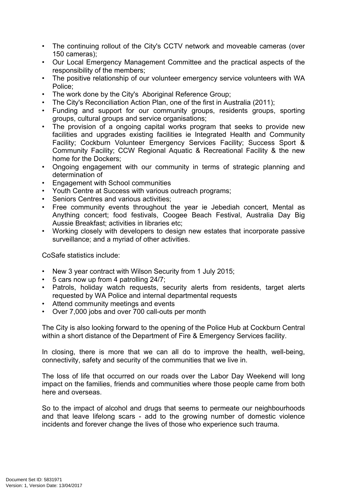- The continuing rollout of the City's CCTV network and moveable cameras (over 150 cameras);
- Our Local Emergency Management Committee and the practical aspects of the responsibility of the members;
- The positive relationship of our volunteer emergency service volunteers with WA Police;
- The work done by the City's Aboriginal Reference Group;
- The City's Reconciliation Action Plan, one of the first in Australia (2011);
- Funding and support for our community groups, residents groups, sporting groups, cultural groups and service organisations;
- The provision of a ongoing capital works program that seeks to provide new facilities and upgrades existing facilities ie Integrated Health and Community Facility; Cockburn Volunteer Emergency Services Facility; Success Sport & Community Facility; CCW Regional Aquatic & Recreational Facility & the new home for the Dockers;
- Ongoing engagement with our community in terms of strategic planning and determination of
- Engagement with School communities
- Youth Centre at Success with various outreach programs;
- Seniors Centres and various activities;
- Free community events throughout the year ie Jebediah concert, Mental as Anything concert; food festivals, Coogee Beach Festival, Australia Day Big Aussie Breakfast; activities in libraries etc;
- Working closely with developers to design new estates that incorporate passive surveillance; and a myriad of other activities.

CoSafe statistics include:

- New 3 year contract with Wilson Security from 1 July 2015;
- 5 cars now up from 4 patrolling 24/7;
- Patrols, holiday watch requests, security alerts from residents, target alerts requested by WA Police and internal departmental requests
- Attend community meetings and events
- Over 7,000 jobs and over 700 call-outs per month

The City is also looking forward to the opening of the Police Hub at Cockburn Central within a short distance of the Department of Fire & Emergency Services facility.

In closing, there is more that we can all do to improve the health, well-being, connectivity, safety and security of the communities that we live in.

The loss of life that occurred on our roads over the Labor Day Weekend will long impact on the families, friends and communities where those people came from both here and overseas.

So to the impact of alcohol and drugs that seems to permeate our neighbourhoods and that leave lifelong scars - add to the growing number of domestic violence incidents and forever change the lives of those who experience such trauma.